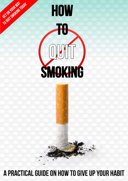# A PRACTICAL GUIDE ON HOW TO GIVE UP YOUR HABIT



FORM SMARING TOOM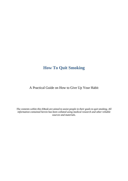## <span id="page-1-0"></span>**How To Quit Smoking**

## A Practical Guide on How to Give Up Your Habit

*The contents within this EBook are aimed to assist people in their goals to quit smoking. All information contained herein has been collated using medical research and other reliable sources and materials.*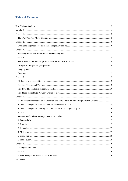## **Table of Contents**

| A Little More Information on E-Cigarettes and Why They Can Be So Helpful When Quitting  13 |  |
|--------------------------------------------------------------------------------------------|--|
|                                                                                            |  |
|                                                                                            |  |
|                                                                                            |  |
|                                                                                            |  |
|                                                                                            |  |
|                                                                                            |  |
|                                                                                            |  |
|                                                                                            |  |
|                                                                                            |  |
|                                                                                            |  |
|                                                                                            |  |
|                                                                                            |  |
|                                                                                            |  |
|                                                                                            |  |
|                                                                                            |  |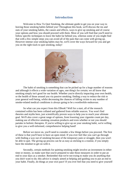#### **Introduction**

<span id="page-3-0"></span>Welcome to How To Quit Smoking, the ultimate guide to get you on your way to leaving those smoking habits behind you! Throughout this book, we'll discuss the ins and outs of your smoking habits, the causes and effects, ways to give up smoking and of course your options and how you should proceed with them. Most of you will find that you'll need to follow specific techniques to leave the habit far behind you, whereas some of you might find that with a few simple steps you can avoid all of the pain that can come with giving up. However intense your smoking habits may be, we'll cover the ways forward for you and get you on the right track to quit smoking, today!



The habit of smoking is something that can be picked up for a huge number of reasons and although it effects a wide variation of ages, one thing's for certain; we all know that smoking simply isn't good for our health. Whether you're directly impacting your own health, or the health of those around you via passive smoking; finding a way to reduce the risk to your general well-being, whilst decreasing the chances of falling victim to any number of smoke-related medical conditions is always going to be a worthwhile endeavour.

So what can you expect from this EBook? Well for a start, all of the research contained within has been collated and gathered from reliable sources. You won't find theories and myths here, just scientifically proven ways to help you to reach your ultimate goal. We'll also cover a great range of options, from lowering your cigarette count per day, making use of effective smoking cessation products and even whether or not you should partake in holistic therapies. If you're willing to give up on your smoking habit, we're willing to give you a well-informed, comprehensive helping hand!

Before we move on, you'll need to consider a few things before you proceed. The first of these is that you'll have to have an open mind. If you ever feel like you can't go through with finding a way out of smoking because of the temporary pain or struggle, then you won't be able to quit. The giving up process can be as easy as sticking to a routine, if you simply have the mindset to get on with it.

Secondly, certain methods for quitting smoking might involve an investment in either time or money, so make sure that you're prepared to take those measures in order to put an end to your days as a smoker. Remember that we're not trying to make you do anything that you don't want to do; this advice is simply aimed at helping and guiding you to put an end to your habit. Finally, do things at your own pace! If you ever feel that you need to give yourself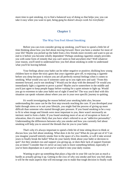<span id="page-4-0"></span>more time to quit smoking, try to find a balanced way of doing so that helps you; you can take it easy when you want to quit, being gung ho doesn't always work for everybody!

#### **Chapter 1**

#### **The Way You Feel About Smoking**

<span id="page-4-1"></span>Before you can even consider giving up smoking, you'll have to spend a little bit of time thinking about how you feel about moving forward. Have you been a smoker for most of your life? Maybe you picked up the habit from a few friends more recently and want to put an end to it before you become wholly dependent? Perhaps smoking cigarettes simply provides you with some form of remedy that you can't seem to find anywhere else? Well whatever your reason, you'll need to understand how you feel about smoking in order to understand what you'll be leaving behind.

Your feelings about your habit can be either negative or positive; disliking how young children have to share the toxic gases that your cigarettes give off, to enjoying a cigarette before you sleep because it relaxes you are all perfectly normal feelings when it comes to smoking. What would you say if someone came up to you right now and said: "From this moment forward, you're not smoking"? Would you be okay with the demand? Or would you immediately light a cigarette to prove a point? Maybe you're somewhere in the middle and you'd just agree to keep people happy before waiting for a quiet minute to light up. Would you go to extremes to take your habit out of sight if need be? The way you'd deal with this situation can speak volumes about where you are in your own specific journey to quitting.

It's worth investigating the reason behind your smoking habit also, because understanding the cause can be the first step towards reaching the cure. If you developed your habit through stress or to suit your lifestyle, you might find the process of giving up more difficult than someone who started through peer pressure. If you found smoking to be a way to fit in when image and friends were most important to you, there wasn't necessarily an intrinsic need to form a habit. If you found smoking more of an act of escapism or form of relaxation, then it's more likely that you have what's referred to as an "addictive personality". Understanding the differences between why you smoke and how you currently feel about smoking will help you to unravel the threads that tie you to your habit.

That's why it's always important to spend a little bit of time sitting down to think or discuss how you feel about smoking. What does it do for you? What do you get out of it? Can you imagine yourself entirely smoke free in the space of a few months, or will it take several years to finally break the habit? What do your family think about your habit or decision to quit? Are they smokers too and support you giving up, or does their lack of support frustrate you at times? Consider that it's never an easy task to leave something behind, especially if you've been dependant on it and you've worked it into your daily routine.

Wanting to give up something that plays a big role in your life can be just as much a hurdle as actually giving it up. Getting to the crux of why you smoke and how you feel about it will be the main aspects that will encourage you to make that tough decision to finally walk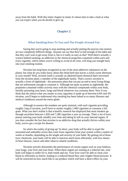<span id="page-5-0"></span>away from the habit. With this entire chapter in mind, it's about time to take a look at what you can expect when you do decide to give up.

#### **Chapter 2**

#### **What Smoking Does To You and The People Around You**

<span id="page-5-1"></span>Saying that you're going to stop smoking and actually putting the process into motion are two completely different things. Anyone can say that they've had enough of the habit and that they can't wait to get away from it, but is it really as easy as that? Well there's actually a science behind smoking; an addiction to the chemical properties contained within each and every cigarette, which unless you're willing to avoid at all costs, will drag you straight back into your smoking routine.

Nicotine has long been recognised as one of the most addictive substances on the planet, but what do you really know about this dried herb that leaves a sickly sweet aftertaste in your mouth? Well, nicotine itself is actually an alkaloid-based chemical that's harvested from the nicotine plant; a member of the nightshade family. That's correct; nicotine is actually a form of nightshade - the poisonous plant that can put an end to most living things that are unfortunate enough to consume it. Although not quite as potent as nightshade, the properties contained within actively react with the chemical compounds within your body, literally poisoning your heart, lungs and blood whenever you consume them. Now if you think that the tobacco that you smoke in your cigarettes is made up of between 0.6% and 3% nicotine, you'll begin to understand why smoking has been linked to so many illnesses and medical conditions around the entire globe.

Although in essence the numbers are quite minimal, with each cigarette providing roughly 1mg of nicotine, you'll have to smoke roughly 1,000 cigarettes to consume a full gram. What you don't realise is that scientific research has displayed that most smokers go through anywhere between 1,820 and 7,280 cigarettes a year on average. That's a lot of toxic poison entering your body steadily over time and taking its toll on your internal organs. If you then consider the fact that nicotine is an addictive drug that actually thrives within your body, you've got a recipe for disaster.

So what's the reality of giving up? In short, your body will be able to expel the unwanted and unhealthy toxins that come from cigarettes from your system within a matter of weeks or months, depending on the length and severity of your habit. By getting rid of those toxic chemicals, your body will be able to function much more efficiently, with less chance of heart disease, cancer and other tobacco related conditions.

Nicotine actively diminishes the performance of certain organs such as your kidneys, your lungs, your liver and your heart. When these organs are running at a reduced rate, your body will begin to suffer for it, both inside and out. Your liver won't be able to clean your blood as efficiently as before, leading to a reduced blood flow and a higher blood pressure. It will be restricted on how much bile it can produce which will have a direct effect on your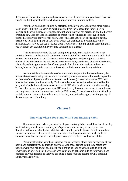digestion and nutrient absorption and as a consequence of these factors, your blood flow will struggle to fight against bacteria which can impact on your immune system.

Your heart and lungs will also be affected, probably more so than your other organs. Your lungs will begin to absorb so much nicotine from the tobacco that they'll start to blacken and shrink in size, lowering the amount of air that you can breathe in and hold before breathing out. This can lead to shortness of breath which will lead to less oxygen being pumped around your body by your heart. This will cause your heart to struggle to supply fresh blood to all of the parts of your body which can then lead to a whole host of new medical issues. As you can see a vicious cycle is created by smoking and it's something that you willingly get caught up in every time you light up a cigarette.

This leads us nicely into the next point; most people aren't really aware of what smoking does to their bodies. Of course you know that it affects your lungs and that it's bad for your health in general, but it's so easy to light a cigarette and just enjoy the relaxing effects of the tobacco that the real effects are often not fully understood by those who smoke. The reality of this ignorance is that if most people don't know what it does to their own bodies, how can they understand what the smoke will do to the people around them?

As impossible as it seems the results are actually very similar between the two, the main difference only being the method of inhalation; where a smoker will directly ingest the properties of the cigarette, a victim of second hand smoke (otherwise known as SHS) will breathe the smoke in unintentionally. Both methods cause the toxins to be absorbed by the body and it's this that makes the consequences of SHS almost identical to actually smoking. To back this fact up, did you know that SHS was directly linked to the cause of heart disease and lung cancer in adult non-smokers during a 1998 survey? If you look at the statistics they are fairly brutal, but sometimes they need to be fully understood to appreciate the gravity of the consequences of smoking.

#### **Chapter 3**

#### **Knowing Where You Stand With Your Smoking Habit**

<span id="page-6-1"></span><span id="page-6-0"></span>If you want to see where you stand with your smoking habits you'll have to take a step back and see yourself from somebody else's point of view. It's easy to have your own thoughts and feelings about your habit, but what do other people think? Do fellow smokers support the amount that you smoke, do your family think you smoke too much, or do exsmokers think that your habit is actually okay compared to their own former habits?

You may think that your habit is under control whereas others may be shocked at just how many cigarettes you go through every day. Ask those around you if they notice any patterns with your habits, for example if you light up as soon as you go outside or if you always smoke after you eat. The reason why you want to get some outside information and opinions on your habits is so that you can build a more rounded picture of what smoking actually means to you.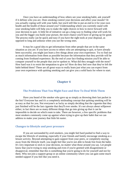Once you have an understanding of how others see your smoking habit, ask yourself if it defines who you are. Does smoking control your decisions and affect your moods? Or you actually coping well with your habit, but you'd still like to put an end to it for your own health and the health of those around you? Understanding where you currently stand with your smoking habit will help you to make the right choices in how to move forward with your decision to quit. A little bit of initiative can go a long way to finding what will work for you and the bigger you build your picture, the more chance you'll have of giving up for good. The process really can be quick and easy if you have the right tools at your disposal, as opposed to long and arduous when you use the wrong ones.

It may be a good idea to get information from other people that are in the same situation as you are. If you have access to others who are attempting to quit, or have already been successful, you might just learn a few things about your own experience. Try to find out as much information from them as possible because the information that they provide will be coming from firsthand experience. By the end of your fact-finding mission you'll be able to compare yourself to the people that you've spoken to. What did they struggle with the most? How hard was it to resist the temptation to give in? How do they feel now that they've left the habit behind them? These are all great ways to really learn just what you can expect from your own experience with quitting smoking and can give you a solid basis for where to start.

## **Chapter 4**

#### <span id="page-7-1"></span><span id="page-7-0"></span>**The Problems That You Might Face and How To Deal With Them**

Have you heard of the smoker who gave up as simply as throwing their last packet in the bin? Everyone has and it's a completely misleading concept that quitting smoking will be as easy as that for you. Not everyone's as lucky as simply deciding that the cigarette that they just finished will be the last cigarette that they'll ever smoke. It's not always about willpower either; in fact there are so many different things that go into giving up that it can be impossible to decide on which route to take. There are however, a few specific problems that most smokers commonly come up against when trying to give up their habit that we can address to make your journey that little bit easier.

#### <span id="page-7-2"></span>**Changes to lifestyle and peer pressure**

If you are surrounded by avid smokers, you might feel hard pushed to find a way to escape the lifestyle of smoking, especially if your friends and family encourage smoking as a leisure activity. Beyond attempting to gain support from your peers, or completely staying away from the lifestyle itself, you might feel like you're not able to break free from the habit. It's very important to stick to your decision, no matter what those around you say. Let people know that you're trying to stop smoking and even if you're greeted with disagreement or disapproval, remember that this is something that you're going to do for yourself and not for them. Why not join a support group or an online community where you can gain some much needed support if you feel like you need it.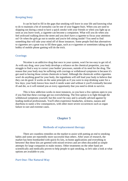#### <span id="page-8-0"></span>**Keeping busy**

It can be hard to fill in the gaps that smoking will leave in your life and knowing what to do to maintain a bit of normality can be one of your biggest fears. When you are used to skipping out during a meal to have a quick smoke with your friends or when you light up as soon as you leave work, a cigarette can become a companion. What will you do when you feel awkward walking down the street and you don't have a cigarette to focus your attention on? Or when the girls go out to smoke and you're left sitting inside? You need to find something that will take your mind off of those instances. Some people find that alternatives to cigarettes are a great way to fill these gaps, such as e-cigarettes or sometimes taking up the hobby of mobile phone gaming will do the trick.

#### <span id="page-8-1"></span>**Cravings**

Nicotine is an addictive drug that once in your system, won't be too easy to get rid of. As with any drug, once your body develops a reliance on the chemical properties, you may struggle to find a way to correct your bodies' processes, outside of its need for the drug. The reason that your body may be suffering with cravings or withdrawal symptoms is because it's got used to having those certain chemicals to hand. Although the chemicals within cigarettes won't do anything good for your body, the ingredients will still lead your body to believe that they *can* do good. It works on the same principle as if you were to stop drinking water for a few days; your body knows how much it needs water and without it you'll eventually become ill and die, so it will remind you at every opportunity that you need to drink to survive.

<span id="page-8-2"></span>This is how addiction works in most instances, so you have a few options open to you if you find that these cravings get too overwhelming. The first option is to fight through the withdrawal symptoms yourself, but this won't be easy and is actually advised against by leading medical professionals. You'll often experience headaches, sickness, nausea and diarrhoea to name a few consequences, with other more severe occurrences such as organ failure in rare and extreme cases.

#### **Chapter 5**

#### **Methods of replacement therapy**

<span id="page-8-3"></span>There are countless remedies on the market to assist with putting an end to smoking habits and some are reportedly more successful than others. After years of research, the market has been bombarded with quick-fix kits, in-home applications and everything in between! But these kits are greeted with mixed reviews and are often discarded as simple attempts for large companies to make money. Other treatments on the other hand are scientifically and medically proven to help people to quit smoking, so let's take a look at what options are available to you.

#### <span id="page-8-4"></span>**Part One: The Natural Way**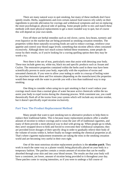There are many natural ways to quit smoking, but many of these methods don't have speedy results. Herbs, supplements and even certain natural food sources rely solely on their ingredients to provide alleviation for cravings and withdrawal symptoms and not on replacing the more psychological, physical side of quitting. Some people prefer to mix and match these methods with more physical replacements to get a more rounded way to quit, but of course this will depend on your own needs.

First off there are herbal remedies such as red clover, carrot, fava beans, turmeric and even liquorice on the market that are being promoted as smoking cessation remedies. The properties within these naturally-occurring foods are said to reduce cravings, reinforce your appetite and control your blood sugar levels; something that nicotine affects when consumed excessively. Although there isn't much science behind these treatments, some people do swear by their results, so if you're looking for a craving quelling option then they may be worth a try.

Next there is the use of teas, particularly ones that assist with detoxing your body. These teas include green tea, white tea, black tea and specific products such as Assam and Ceylon. The restorative properties contained within the herbs used in these teas have been scientifically proven to assist your body, especially with the expulsion of toxins and unwanted chemicals. If you were to allow your teabag to settle in a teacup of boiling water for anywhere between three and five minutes (depending on the manufacturer) the properties would then merge with the water to provide you with a less than traditional way to stop smoking.

One thing to consider when using tea to quit smoking is that it won't reduce your cravings much more than a normal glass of water because active chemicals within the tea assist your body to expel toxins during the cleansing process. With consistent use, you could theoretically flush all of the toxins from your system which will include any nicotine residue, but it doesn't specifically expel nicotine exclusively.

#### <span id="page-9-0"></span>**Part Two: The Product Replacement Method**

Many people that want to quit smoking turn to alternative products to help them to replace their traditional habits. This is because many replacement products offer a smaller amount of nicotine to reduce cravings and to wean the user off of traditional cigarettes, and many of them provide a more physical way to deal with giving up. When people go to rehab, they aren't strapped down to beds and forced to overcome their withdrawal symptoms; they are provided lower dosages of their specific drug in order to gradually relieve their body of the volume of toxins within it, before finally no longer needing the chemical properties at all. That's where cigarette replacement treatments are taking the reins in the smoking cessation world and are becoming very useful in their own right.

One of the most notorious nicotine replacement products is the **nicotine patch**. They work in much the same way as a plaster would; being physically placed on your body in a temporary fashion. The patches contain a certain amount of nicotine that can be readily absorbed through your skin and into your blood stream. The results are that your body will have a consistent, yet lower, amount of nicotine being provided to it throughout your day. These patches come in varying intensities, so if you were to undergo a full course of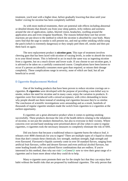treatment, you'd start with a higher dose, before gradually lowering that dose until your bodies' craving for nicotine has been completely nullified.

As with most medical treatments, there are potential side effects including abnormal or detailed dreams that disturb you from your sleep pattern, itchy redness and soreness around the site of application, rashes, blurred vision, headaches, swelling around the application area and even irregular heartbeats. The reasons behind these rare but severe reactions are put down to the method in which the nicotine is absorbed by your body. Many users find that the urge to smoke is still present too, and end up either smoking whilst using the patch (which is extremely dangerous) or they simply peel them off, smoke and then put them back on again.

The next replacement product is **nicotine gum**. This type of treatment involves chewing gum that has been laced with nicotine of varying levels, in order to absorb the toxins in to your blood stream. This is believed to act in much the same way as ingesting nicotine from a cigarette, but on a much slower and lower scale. If you choose to use nicotine gum, it is advised to be taken on a carefully constructed course. Complications have been known to occur if a person accidentally consumes more gum than required, or misses their dosage completely. These complications range in severity, none of which are fatal, but all are beneficial to avoid.

#### **E Cigarette Replacement Method**

One of the leading products that have been proven to reduce nicotine cravings are ecigarettes. **E-cigarettes** were developed with the purpose of providing a non-lethal way to smoke, reduce the need for nicotine and in many cases; enjoy the variation in products. Ecigarettes were first introduced with a mixed acceptance, with critics demanding to know why people should use them instead of smoking real cigarettes because they're so similar. The conclusion of scientific investigations were astounding and as a result, hundreds of thousands of regular cigarette smokers made the switch from cigarettes to e-cigarettes at the earliest opportunity.

E-cigarettes are a great alternative product when it comes to quitting smoking successfully. These products decrease the risk of the health defects relating to the inhalation of nicotine, to not just the smokers themselves, but also to everyone in their vicinity. Where concerns over second hand smoking were prioritised above all else when it came to regular cigarettes, e-cigarettes took the necessary measures to completely eliminate the risk of SHS.

Did you know that because a traditional tobacco cigarette burns the tobacco leaf, it releases over 4000 chemicals for you to ingest? There are multiple types of e-liquid to choose from that don't contain these chemicals; low strength, medium strength, high strength and even flavoured. Flavoured e-liquids currently come in over 50 standard flavors, ranging from artificial fruit flavours, coffee and dessert flavours and even artificial alcohol flavours, but some leading brands offer you tailored flavor combinations that are endless. If you're interested in this method, then why not visit [GenGreen](http://www.gengreenlife.com/)*life* now to view their great range of ecigarettes and to learn more about what they could do to help.

Many e-cigarette users promote their use for the simple fact that they can enjoy their habit without the health risks that are proposed by traditional cigarettes. The only person that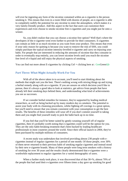will ever be ingesting any form of the nicotine contained within an e-cigarette is the person smoking it. This means that even in a room filled with dozens of people, an e-cigarette is able to completely nullify the potential for any nicotine to enter the atmosphere, which makes it a very family-friendly product. Add this aspect to the fact that users can customize their experiences and even choose to smoke nicotine free e-cigarettes and you might just be onto a winner.

So, you didn't realize that you can choose a nicotine free option? Well that's where the developers of the e-cigarette went even further to provide for their consumers. E-cigarettes can contain as little or as much nicotine as you want from your product. This means that even if your only reason for quitting is because you want to remove the risk of SHS, you could simply purchase the typical nicotine intensity-levelled e-cigarette and carry on enjoying your habit. For people that are interested in reducing the amounts of nicotine that they consume in order to eventually stop entirely, you can lower nicotine levels until you reach the nicotine free level of e-liquid and still enjoy the physical aspects of smoking.

You can find out more about E-cigarettes by clicking Ctrl + clicking here at : [GenGreen](http://www.gengreenlife.com/)*life* 

#### <span id="page-11-0"></span>**Part Three: What Might Actually Work For You**

With all of the above taken in to account, you'll need to start thinking about the methods that might suit you the best. There's nothing wrong with mixing things up and trying a herbal remedy along with an e-cigarette. If you are unsure on which decision you'd like to pursue, then it's always a good idea to look at statistics, get advice from people that have already left their smoking days behind them, and understanding what kind of achievements you see as successes.

If we consider herbal remedies for instance, they're supported by leading medical researchers, as well as being backed up by many modern day ex-smokers. The potential to assist your body with its cleansing procedures, whilst fighting off cravings is a great option, but you'll need to ensure that you remain consistent with your consumption to get the best results. The benefits of these remedies will wear off if you don't commit yourself to taking them and you might find yourself ready to pick the habit back up in no time.

If you feel that you'll be better suited by gently weaning yourself off of regular cigarettes, then it's probably worth noting that e-cigarettes could well be the option for you. They are the only habit-breaking treatment that's been backed by leading healthcare professionals in most countries around the world. Since their official launch in 2004, they've been purchased by multiple millions of consumers.

A recent study was undertaken that involved providing almost 230 people with ecigarettes instead of regular cigarettes for a period of one month. Of those people, over 30% of them never returned to their previous habit of smoking regular cigarettes and instead stood by their new e-cigarette brands. Many of these people were long term smokers with a history of smoking for over 30 years and the results clearly demonstrated that e-cigarettes were a worthwhile replacement to regular cigarettes for a varied demographic of users.

When a further study took place, it was discovered that of that  $30+$ %, almost 70% of the people that had used their e-cigarettes over fifteen times a day gave up smoking for good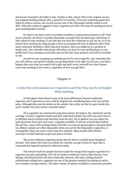and haven't returned to the habit to date. Further to that, almost 30% of the original success rate stopped smoking entirely after a period of six months. Given the remaining people that failed to achieve success, the overall success rate of the 230 people initially tested is over 90%. What this evidence suggests is that e-cigarettes provide a firm base for putting an end to your smoking habits entirely.

So what if you don't want to try herbal remedies or replacement products at all? Well you're certainly not alone! Countless thousands of people have decided to go cold-turkey in their efforts to stop smoking. If you feel that you have the willpower to just say no, or if you haven't been smoking for long enough to have accumulated the sort of addiction that's been most commonly identified within long term smokers, then you might be in a position to simply quit. Just remember that going cold-turkey can have its own ramifications on your health and if your attempts to just plain quit do fall foul, these products will still be available to you.

<span id="page-12-0"></span>As hard or easy as giving up smoking may be for you in specific, just remember that you will achieve your goals if simply you go about them in the right way for you. Just find a balance that suits what you need to do to quit and don't worry yourself over time frames; you'll stop smoking if you want to, regardless of how you get there.

## **Chapter 6**

## <span id="page-12-1"></span>**A Little More Information on E-Cigarettes and Why They Can Be So Helpful When Quitting**

At first glance there doesn't seem to be many differences between traditional cigarettes and e-cigarettes so you could be forgiven for considering them to be one and the same. Although they may be similar on the outside, they really are that far apart inside that you'll wonder why they weren't invented sooner!

All e-cigarettes are constructed using three pieces; the battery, the cartomizer and the cartridge. Certain e-cigarette brands and their individual models may offer you more flavors or different special features and functions from the next, but in general you can expect the same processes from each and every e-cigarette available. If you are worried about battery life and kits, many of the leading brands will offer you not just great products, but great deals too. Battery options are either disposable (when you opt for the disposable e-cigarette), or rechargeable when you want a more long term solution. Many brands offer lifetime warranty's on their batteries to give you peace of mind.

The science behind e-cigarettes means that the device carefully heats liquidized nicotine. This means that when you inhale the contents, you get a burst of vapor that is consumed and ingested instead of traditional smoke.

The overall results for people that have made the change from regular cigarettes to ecigarettes are quite astounding. The risk of medical conditions such as heart disease, liver damage and lung disorders has been drastically reduced, with many leading medical professionals stating that e-cigarettes are one of the greatest methods for putting an end to your nicotine cravings entirely. The sheer volume of options available to consumers provides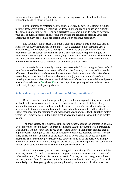a great way for people to enjoy the habit, without having to risk their health and without risking the health of others around them.

For the purpose of replacing your regular cigarettes, it's advised to start at a regular nicotine dose, before gradually reducing the dosage until you are able to use an e-cigarette that contains no nicotine at all. Because e-cigarettes also come in a wide range of flavours, your goal to quit can become an enjoyable experience and can lead to offering you a safe alternative to many problematic products if you have an addictive personality.

Did you know that because a traditional tobacco cigarette burns the tobacco leaf, it releases over 4000 chemicals for you to ingest? An e-cigarette on the other hand uses a nicotine based fluid (known as an e-liquid) that is heated up by the device and releases a vapour that doesn't contain any chemicals at all. There are multiple types of e-liquid to choose from; low strength, medium strength, high strength and even flavoured. The medium and high strengths boast that classic cigarette taste and can contain an equal amount or even more of nicotine compared to traditional cigarettes to suit your needs.

Flavoured e-liquids currently come in over 50 standard flavors, ranging from artificial fruit flavours, coffee flavours and even artificial alcohol flavours, but some leading brands offer you tailored flavor combinations that are endless. E-cigarette brands also offer a better alternative, nicotine free, for the users who want the enjoyment and simulation of the smoking experience without the any chemical risks at all. One of the most reliable e-cigarette information websites is [GenGreen](http://www.gengreenlife.com/)*life* and the range of e-cigarette products reviewed there could really help you with your goals now.

#### <span id="page-13-0"></span>**So how do e-cigarettes work and how could they benefit you?**

Besides being of a similar shape and style as traditional cigarettes, they offer a whole host of benefits when compared to them. The main benefit is the fact that they entirely prohibit the potential for second hand smoke because every e-cigarette is built to house the nicotine content, only allowing inhalation to occur when the e-cigarette itself is activated. Rather than ingesting the nicotine as you would with a regular cigarette, the filtration system within the e-cigarette heats up the liquid nicotine, creating a vapour that can then be inhaled by you.

The sheer variety of e-cigarettes is the second benefit, beyond the prohibition of SHS. You simply don't need to restrict your requirements to suit the product; there's a great range available that is built to suit you! If you don't want to invest in a long term product, then it might be worth looking in to the range of disposable e-cigarettes available instead. They are fairly priced and most of them act as the equivalent of two to three full boxes of regular cigarettes. They are battery powered, so once you've used up all of the puffs, you'd simply throw the cigarette away safely, saving you plenty of cash, as well as potentially reducing the amount of nicotine that you've consumed in the process of smoking.

If you'd prefer to set yourself a long term goal, then rechargeable e-cigarettes will be your way to move forwards. They come in a range of nicotine intensities, with a variety of styles and features, from long life batteries to exotic flavours, such as cherry, menthol, cola and many more. If you do decide to go for this option, then bear in mind that you'll be much more likely to achieve your goals by gradually lowering the amount of nicotine in each e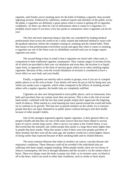cigarette, until finally you're smoking more for the habit of holding a cigarette, than actually ingesting nicotine. Endorsed by celebrities, medical experts and members of the public across the globe, e-cigarettes are definitely a great option when it comes to getting off of cigarettes completely. As there can often be a lot of information when it comes to e-cigarettes, it's probably much easier if you have a few key points to summarize what e-cigarettes can do for you!

The first and most important thing is that they are considered by leading medical professionals from across the world to be a valid, trusted and endorsed method to assist with the gradual reduction, before the complete ceasing of, smoking and the related habit. What that means is that professionals everywhere accept and agree that when it comes to smoking, e-cigarettes are one of the finest ways to rehabilitate yourself until you no longer require cigarettes any more.

The second thing to bear in mind is that e-cigarettes are much safer when used, in comparison to their traditional cigarette counterparts. They contain ranges of nicotine levels, all of which are provided to their user via inhalation and even then, the nicotine is in liquid vapor form, as opposed to in the form of noxious gases which occur when smoking regular cigarettes. Because of this, even the overall inhalation of nicotine is considered to have a lower effect on your body and your health.

Finally, e-cigarettes are entirely safe to smoke in groups, even if you are in cramped public places or on the sofa at home. Your family will never be put at risk by being near you whilst you smoke your e-cigarette, which when compared to the effects of smoking around others with a regular cigarette; the health risks are completely nullified.

Cigarettes are also now being banned in most public places, such as restaurants, bars, halls and anywhere that can contain more than one person. This is due to the risk of second hand smoke, combined with the fact that some people simply don't appreciate the lingering smell of tobacco. What started as a trial banning has since spread around the world and looks set to continue in its growth. This ban isn't to punish smokers on the whole; it's to reassure people that they can enjoy themselves in public places without having to risk their health because of other people's habits.

One of the strongest arguments against regular cigarettes, is their general effect on people's health and that they are one of the main sources that have been linked to several types of cancer; mostly lung cancer. After a survey was taken in the United States, it was discovered that the mortality rate within people that smoke is a huge three times higher than in people that don't smoke. What this means is that if there were four people and three of them smoked, but they were all the same age, the smokers would run a much higher chance of dying earlier than expected because of their smoking habit and its related illnesses.

The most common illnesses that relate to smokers are cancer, vascular disease and respiratory conditions. These illnesses could all be avoided if the individuals that are suffering with them simply stopped smoking. When people smoke, there are two forms of tobacco consumption; the first is through inhalation and the second is via the smoke when it burns. These two things cause the body to pump very little, or in extreme cases, no blood at all to the heart, which can result in other fatal conditions, such as stroke or heart attack.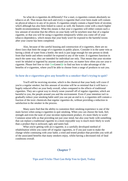So what do e-cigarettes do differently? For a start, e-cigarettes contain absolutely no tobacco at all. That means that each and every e-cigarette that's ever been made will contain no physical tobacco in any of its pieces. E-cigarettes simply contain a liquid form of nicotine, which although has also been linked to cancer as well, the features come with a much higher health recommendation. What this means is that your e-cigarettes will either contain such a low amount of nicotine that the effects on your body will be nowhere near that of a regular cigarette, or that you will be using e-cigarettes temporarily whilst you come off of your tobacco dependency, which means that your body won't be exposed to the harmful toxins after your course has been completed.

Also, because of the careful housing and construction of e-cigarettes, there are no direct laws that limit the usage of e-cigarettes in public places. Consider it in the same vein as having a drink of water from a bottle; the neck is just large enough for one person to drink from that bottle and others wouldn't be exposed to any of the water. E-cigarettes function in much the same way; they are intended for individual use only. That means that your nicotine won't be inhaled or ingested by anyone around you ever, no matter how often you use your ecigarette. Please feel free to visit [GenGreen](http://www.gengreenlife.com/)*life* to find out how to take advantage of the benefits of e-cigarettes, where you'll be able to choose from a range of products to suit you.

#### <span id="page-15-0"></span>**So how do e-cigarettes give any benefit to a smoker that's trying to quit?**

You'll still be receiving nicotine, which is the chemical that your body will crave if you're a regular smoker; but this amount of nicotine will be so minimal that it will have a hugely reduced effect on your body overall, when compared to the effects of traditional cigarettes. They are a great way to slowly wean yourself off of regular cigarettes; which are harmful to you, the people around you and the environment. Even if your intention isn't to gradually reduce your smoking habit until you can put an end to it, e-cigarettes still contain a fraction of the toxic chemicals that regular cigarettes do, without providing a reduction in satisfaction to the smoker in the process.

Many users find that the ability to customize their smoking experience is one of the main factors when using e-cigarettes to quit smoking. When you can choose the look, feel, strength and even the taste of your nicotine replacement product, it's more likely to work! Common sense tells us that providing not just your mind, but also your body with something that can replace a traditional cigarette in a more enjoyable way is much more likely to work than a product that is awkward, ugly and tastes bad.

<span id="page-15-1"></span>What you're getting with an e-cigarette, is a carefully developed method of rehabilitation whilst you come off of regular cigarettes, or if you just want to make the change whilst continuing with your habit; a tried and tested product that provides you with all of the associated benefits that many smokers enjoy, whilst having a decreased risk of fatal conditions overall.

## **Chapter 7**

#### <span id="page-15-2"></span>**Tips and Tricks That Can Help You to Quit, Today**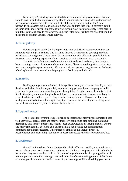Now that you're starting to understand the ins and outs of why you smoke, why you want to give up and what options are available to you it might be a good idea to start putting pen to paper and come up with a method that will help you to keep on the straight and narrow. In this chapter, we'll take a look at a few hints and tips that, if used correctly, could be some of the most helpful suggestions to you in your quest to stop smoking. Please bear in mind that you won't need to follow every single tip listed here; just find the ones that you like the sound of and that you feel would suit you.

#### <span id="page-16-0"></span>**1. Eat regularly**

Before we get in to this tip, it's important to note that it's not recommended that you eat foods with a high fat content. The last thing that you'll want during your stop-smoking period is to put weight on. This is one of the most common side effects for people that have chosen to stop smoking, especially if you decide to go cold turkey and give up instantly.

Try to find a healthy source of vitamins and minerals each and every time that you have a craving; a piece of fruit, something with dietary fibre or something with protein. Any food containing these properties will affect your body in a positive way, increasing the levels of endorphins that are released and helping you to feel happy and relaxed.

#### <span id="page-16-1"></span>**2. Exercise**

Nothing quite gets your mind off of things like a healthy exercise session. If you have the time, add a bit of cardio to your daily routine to help get your blood pumping and shift your thought processes onto something other than quitting. Another bonus of exercise is that it will stimulate your adrenaline glands, which will cause adrenalin to traverse your body to your blood stream and leave you feeling refreshed and invigorated. Exercise will help to unclog any blocked arteries that might have started to suffer because of your smoking habit, and will work to improve your cardiovascular health, too.

#### <span id="page-16-2"></span>**3. Hypnotherapy**

The treatment of hypnotherapy is often so successful that many hypnotherapists boast well above 80% success rates and many of their services include 'stop smoking in an hour' treatments. This form of therapy has recently been acknowledged by leading medical experts and many smokers that decide to take this route have had nothing but complimentary comments about their successes. Other therapies similar to this include hypnosis, psychotherapy and counselling, but none can boast the success rates that hypnotherapy has.

#### <span id="page-16-3"></span>**4. Meditation**

If you'd prefer to keep things simple with as little effort as possible, you could always try the holistic route. Meditation, yoga and even Tai Chi have been proven to help individuals focus when they are struggling to do so. If you need a gentle reminder that your goal is much more important than minor cravings, then dedicate a bit of time to taking on one of the above activities; you'll soon start to feel in control of your cravings, whilst maintaining your focus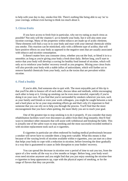to help with your day to day, smoke-free life. There's nothing like being able to say 'no' to your cravings, without even having to think too much about it.

#### <span id="page-17-0"></span>**5. Citrus fruits**

If you have access to fresh fruit in particular, why not try eating as much citrus as possible? Not only will the vitamin C act to benefit your body, but it will also stem your nicotine cravings. Many of the properties within tobacco are made up of acidic elements. These elements will find a way in to your body and react with your internal chemicals whilst you smoke. This reaction can be mimicked, only with a different type of acidity; that will have positive effects on your body as opposed to the negative ones that are usually associated with tobacco and nicotine consumption.

It doesn't matter how you consume citrus, whether you eat the fruit, or blend it in to a smoothie; as long as you're giving your body a fresh dose daily. Before long, you'll start to notice that your body will develop a craving for healthy food instead of nicotine, which will only act to reinforce your bodies' recovery overall as you progress. Mixing your citrus fruits will also provide your body with a stable influx of antioxidants, which will further act to remove harmful chemicals from your body, such as the toxins that are prevalent within nicotine.

#### <span id="page-17-1"></span>**6. Find a buddy**

If you're able, find someone else to quit with. The most enjoyable part of this tip is that you'll be able to bounce off of each other, discuss ideas and methods, whilst encouraging each other to keep at it. Giving up smoking can be even more stressful, especially if you're doing it on your own. If you find that you're surrounded by smokers wherever you turn, such as your family and friends or even your work colleagues, you might be caught between a rock and a hard place as far as your stop-smoking efforts go and that's why it's important to find someone that you can rely on to help you through the process. You'll find that the more encouragement that you have when quitting, the more likely you are to reach your goal.

One of the greatest tips to stop smoking is to do it properly. If you consider that many rehabilitation facilities won't ever disconnect an addict from their drug instantly; they'll find ways to introduce other measures that will assist with withdrawal and breaking the habit. This is actually one of the safest ways to stop smoking and the most successful recorded method is with nicotine replacement tools such as e-cigarettes.

E-cigarettes in particular are often endorsed by leading medical professionals because a smoker will never have to consider them a long term variable. What this means is that because of the varying levels of nicotine available within e-cigarettes, you can start on a dose that helps your body to cope with a reduction in nicotine, before lowering the dose gradually in a way that is guaranteed to cause as little disruption to your bodies' recovery.

You can spread the decrease in nicotine over a period of time to suit you too, from the space of a few weeks all the way to a few months or longer. Before long, your body won't even need nicotine anymore and you might find that you just enjoy smoking the nicotine-free e-cigarettes to keep appearances up, cope with the physical aspect of smoking, or for the range of flavors that they can provide.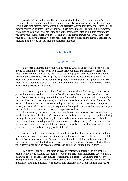Another great tip that could help is to understand what triggers your cravings in the first place. Keep a journal or notebook and make sure that you write down the date and time, every single time that you have a craving for a cigarette. After a few days, you'll have a pretty concise collection of times that your body seems to crave nicotine. Throughout the process, find a way to stem your cravings using any of the techniques listed within this chapter, until you have your journal filled with at least half a week's craving times. Once you learn when your body will crave nicotine, you can make plans to put a block on the craving; meditation, exercise, healthy food or your nicotine replacement therapy.

#### **Chapter 8**

#### **Giving Up For Good**

<span id="page-18-1"></span><span id="page-18-0"></span>Now here's a phrase that you'll want to remind yourself of as often as possible; 'I'm giving up smoking for good'. Until you accept that your goals are achievable, there will always be something in your way. But what does giving up for good actually mean? Well although the sentence itself seems pretty self-explanatory, the actual use of it will vary depending on your lifestyle and habit. Most people will find that giving up for good is less about turning their backs on smoking entirely and more about finding a way to cope without the damaging effects of a cigarette.

For a smoker giving up really is freedom, but what if you find that giving up leaves you with too much freedom? You might feel alone in your habit, but many smokers actually *enjoy* the process of smoking, even if they hate the smell and contaminants that come with it. As a result coping without cigarettes, especially if you've been an avid smoker for a specific period of time, can be one of the easiest things to decide, but one of the hardest things to actually manage. Whilst smoking, you experience feelings that only nicotine can provide you and that in itself can often be the hardest compulsion to shake.

Unfortunately, one of the most common mistakes that smokers make is that when they are finally free from nicotine they'll become partial to the occasional cigarette, perhaps during social gatherings, or if they have any free time and a quick smoke is an option. This in itself can often lead to a total relapse and if you do have the odd cigarette, you'll find yourself back at square one in no time. But what if your cigarettes have become such a consistent factor in your life that your hands feel empty without them?

A lot of quitting or ex smokers will find that once they have the nicotine out of their system and are free of their cravings, their body will physically react to the loss of the habit that they've become so used to. You may be one of hundreds of thousands of smokers that suffer with this feeling, but fortunately there are products, such as e-cigarettes, that will offer you a safer way to cope on occasion, rather than going back to traditional cigarettes.

E-cigarettes are one of the main sources of replacement therapy and are useful to people with varying nicotine dependencies. As the majority of manufacturers develop their ecigarettes to look and feel very similar to traditional e-cigarettes, you'll find that just by having one of these to occasionally use to smoke, you will lower your need for smoking. The intention of breaking a habit is to do exactly that; break the habit, so if you find that you're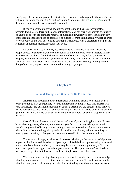struggling with the lack of physical contact between yourself and a cigarette, then e-cigarettes will come in handy for you. You'll find a great range of e-cigarettes at [GenGreen](http://www.gengreenlife.com/)*life*, one of the most reliable suppliers of e-cigarettes available.

If you're planning on giving up, but you want to make it as easy for yourself as possible, then please adhere to the above information. You can trust your body to eventually be able to cope with the complete removal of nicotine, but whilst you can't, you can try any of the recommended methods of getting off of cigarettes, from eating healthily which is great for your body, all the way to replacing your regular cigarettes with e-cigarettes to help in the reduction of harmful chemicals within your body.

No one says that as a smoker, you're stuck being a smoker. It's a habit that many people choose to take part in, where others fall in to the routine due to their lifestyle. Either way, you can break free from the harmful activity of smoking now, before you enjoy a happier, healthier take on life that your friends and family will appreciate for years to come. The main thing to consider is that whoever you are and whatever you do; smoking can be a thing of the past you just have to want it to be a thing of your past!

## **Chapter 9**

#### **A Final Thought on Where To Go From Here**

<span id="page-19-1"></span><span id="page-19-0"></span>After reading through all of the information within this EBook, you should be in a prime position to start your journey towards the freedom from cigarettes. This process will vary in difficulty and duration depending on you as a person, but the bottom line is that you can achieve success and leave the habit behind you; all that you'll need to do is really want to get there. Let's have a recap on what's been mentioned and how you should progress in each instance.

First of all, you'll have explored the ins and outs of your smoking habit. You'll have learnt about cigarettes, what they do to you and your body, how they affect your mood, attitude and general well-being, whilst gaining a better understanding of your situation on a whole. One of the main things that you should be able to walk away with is the ability to identify your situation, so that you can better understand it, in order to move on from it.

The same would apply to all sorts of smokers, whether you've had a box of cigarettes in your pocket for several decades, or if you've just picked the habit up after being introduced to the addictive substances. Once you can recognize where you are right now, you'll be in a much better position to appreciate where you want to be. This process doesn't need to be as hard as you may often be informed; it can be as simple as one, two, three; done.

Whilst you were learning about cigarettes, you will have also begun to acknowledge what they do to you and the effect that they have on your life. You'll have learnt to identify what the consequences of smoking are, whilst understanding what those consequences can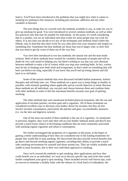lead to. You'll have been introduced to the problems that you might face when it comes to smoking (or quitting in this instance), including peer pressure, addiction and any other variables in between.

The next things that we covered were the methods available to you, in order for you to give up smoking for good. You were introduced to several common methods, as well as other less practical ones that may be suitable for individuals. At this point, it's worth considering that as a smoker, you are an individual and what works for some people may not work for others. If at any time you decide to try any of the techniques and methods listed within this EBook, only to find that they don't work for you, then don't lose your initiative and simply try something else. Sometimes the best methods are those that you're happy with, so don't feel that you need to get the worst of them out of the way first.

You were then introduced to two key methods; the natural one and the man-made solution. Both of these methods have worked for countless thousands of people and will no doubt be very well suited to helping you, but there's nothing to say that you can't alternate between methods to enjoy a bit of variety while you stop your smoking habit. In fact, variety may be key to keeping your body fresh and invigorated, so don't settle on something that will bore you before too long, especially if you know that you'll end up losing interest and fall back in to old habits.

Some of the natural methods that were discussed included herbal treatments, holistic therapies and self-help ones, too. These methods are a great way to keep things as healthy as possible, with minimal spending where applicable and an overall objective in mind. Because these methods are all individual, you can pick and choose between them and combine them with other methods in order to feel the maximum benefits towards your goal of quitting smoking.

The other methods that were mentioned included physical treatments, like the use and application of nicotine patches, nicotine gum and e-cigarettes. All of these treatments are considered excellent ways to decrease your bodies' desire for nicotine, but they all also involve nicotine consumption, particularly the patches and gum, via unorthodox measures (i.e. via the skin and digestive system).

One of the most successful of these methods is the use of e-cigarettes. As mentioned in previous chapters, they won't take their toll on your bodies' habitual needs and they'll also provide a much lower chance of developing conditions that are most commonly associated with smoking regular cigarettes and tobacco consumption.

We further investigated the properties of e-cigarettes at this point, in the hopes of gaining a better understanding of how they are considered one of the leading treatments for people that would like to stop smoking. We discovered that they provide several benefits that go above and beyond smoking regular cigarettes, including their ability to provide a much safer smoking environment for yourself and those around you. They are widely available and usable in most locations, due to their very individual approach to smoking.

Once we'd covered the methods to quit smoking, their applications and how they could benefit you as an individual, we went on to discuss specific tips and tricks that would further compliment your goal to quit smoking. These included several well known tips, such as exercise to stimulate a healthy body with the release of a fresh batch of endorphins; the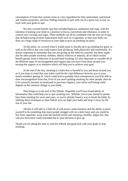consumption of fruits that contain citrus as a key ingredient for their antioxidant, nutritional and vitamin properties, and how finding someone to quit with can be a great way to stay on track with your goals to quit.

We also covered holistic tips that included hypnosis, meditation and yoga, with the intention of putting your body in a position to focus, concentrate and rebalance, in order to control your cravings and urges. These methods can all be combined with the next set of tips, that included using nicotine replacement tools such as e-cigarettes, so that your body can draw on a huge range of resources in your fight to give up smoking for good.

At this point, we covered what it would mean to literally give up smoking for good, as well as the effects that you could expect from giving up, both physically and emotionally. It's always important to remember that you are giving up the habit for yourself, but there might also be other people involved; children, elderly relatives or animals, all of which would benefit greatly from a reduction in second hand smoking. It's also important to consider all of the different types of encouragement and support that you have from those around you; turning this support in to initiative which will help you to achieve your goal.

At the end of the day, smoking is a habit that is harmful to you and those around you, so if you keep in mind that your habit could be the vital difference between you or your family members getting ill, which could lead to possibly fatal consequences; you'll be able to draw encouragement from that. Even if you aren't quitting smoking for other people, then do it for yourself, because as mentioned in previous chapters, your entire well-being could depend on this massive change to your habit.

That brings us to the end of this EBook. Hopefully you'll have found plenty of information that could help you to quit smoking now. Whether you've just started to smoke, have been smoking for years and years, or you've already found a way to break the habit, by utilizing these techniques to their fullest, you can fight your habit and keep it away for the rest of your life.

All that it will take is a little bit of will power, some initiative and the ability to push yourself to do something that many people struggle with on a daily basis and you could be free from cigarettes, away from the harmful toxins and enjoying a healthy, happy life, that will also have been vastly extended due to your decision to give up.

Thank you for taking the time to read this EBook and good luck with your goals to stop smoking.